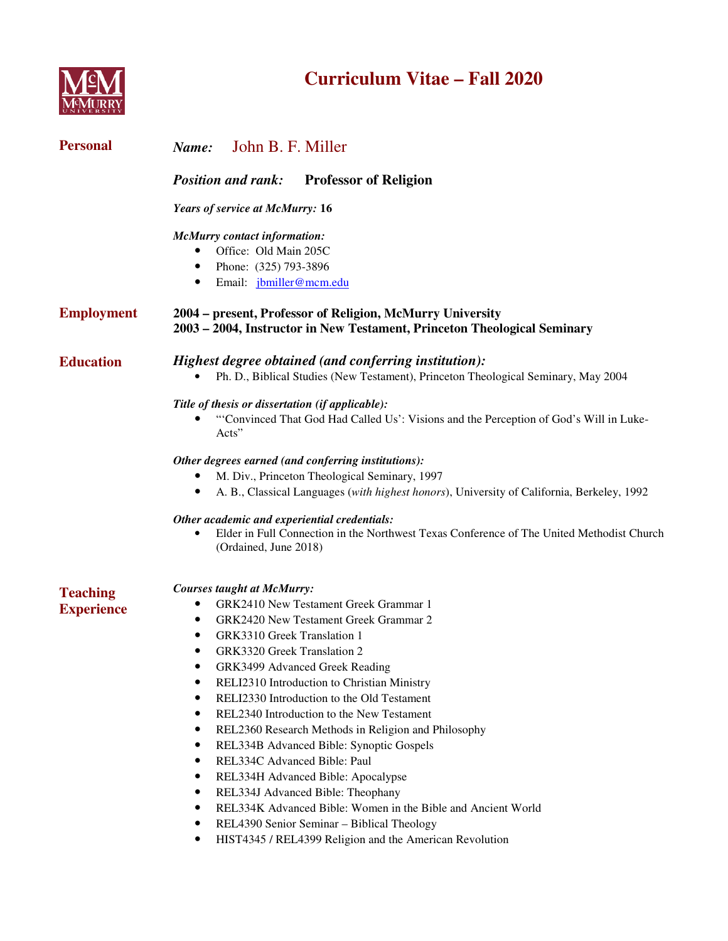

## **Curriculum Vitae – Fall 2020**

| <b>Personal</b>                      | John B. F. Miller<br>Name:                                                                                                                                                                                                                                                                                                                                                                                                                                                                                                                                                                                                                                                                                                                                                                                  |
|--------------------------------------|-------------------------------------------------------------------------------------------------------------------------------------------------------------------------------------------------------------------------------------------------------------------------------------------------------------------------------------------------------------------------------------------------------------------------------------------------------------------------------------------------------------------------------------------------------------------------------------------------------------------------------------------------------------------------------------------------------------------------------------------------------------------------------------------------------------|
|                                      | <b>Position and rank:</b><br><b>Professor of Religion</b>                                                                                                                                                                                                                                                                                                                                                                                                                                                                                                                                                                                                                                                                                                                                                   |
|                                      | Years of service at McMurry: 16                                                                                                                                                                                                                                                                                                                                                                                                                                                                                                                                                                                                                                                                                                                                                                             |
|                                      | <b>McMurry</b> contact information:<br>Office: Old Main 205C<br>Phone: (325) 793-3896<br>$\bullet$<br>Email: <i>jbmiller@mcm.edu</i><br>$\bullet$                                                                                                                                                                                                                                                                                                                                                                                                                                                                                                                                                                                                                                                           |
| <b>Employment</b>                    | 2004 – present, Professor of Religion, McMurry University<br>2003 – 2004, Instructor in New Testament, Princeton Theological Seminary                                                                                                                                                                                                                                                                                                                                                                                                                                                                                                                                                                                                                                                                       |
| <b>Education</b>                     | Highest degree obtained (and conferring institution):<br>Ph. D., Biblical Studies (New Testament), Princeton Theological Seminary, May 2004                                                                                                                                                                                                                                                                                                                                                                                                                                                                                                                                                                                                                                                                 |
|                                      | Title of thesis or dissertation (if applicable):<br>"Convinced That God Had Called Us': Visions and the Perception of God's Will in Luke-<br>$\bullet$<br>Acts"                                                                                                                                                                                                                                                                                                                                                                                                                                                                                                                                                                                                                                             |
|                                      | Other degrees earned (and conferring institutions):<br>M. Div., Princeton Theological Seminary, 1997<br>A. B., Classical Languages (with highest honors), University of California, Berkeley, 1992<br>$\bullet$                                                                                                                                                                                                                                                                                                                                                                                                                                                                                                                                                                                             |
|                                      | Other academic and experiential credentials:<br>Elder in Full Connection in the Northwest Texas Conference of The United Methodist Church<br>(Ordained, June 2018)                                                                                                                                                                                                                                                                                                                                                                                                                                                                                                                                                                                                                                          |
| <b>Teaching</b><br><b>Experience</b> | <b>Courses taught at McMurry:</b><br><b>GRK2410 New Testament Greek Grammar 1</b><br><b>GRK2420 New Testament Greek Grammar 2</b><br>$\bullet$<br>GRK3310 Greek Translation 1<br>$\bullet$<br>GRK3320 Greek Translation 2<br>٠<br>GRK3499 Advanced Greek Reading<br>RELI2310 Introduction to Christian Ministry<br>RELI2330 Introduction to the Old Testament<br>REL2340 Introduction to the New Testament<br>REL2360 Research Methods in Religion and Philosophy<br>٠<br>REL334B Advanced Bible: Synoptic Gospels<br>٠<br>REL334C Advanced Bible: Paul<br>REL334H Advanced Bible: Apocalypse<br>REL334J Advanced Bible: Theophany<br>REL334K Advanced Bible: Women in the Bible and Ancient World<br>REL4390 Senior Seminar - Biblical Theology<br>HIST4345 / REL4399 Religion and the American Revolution |